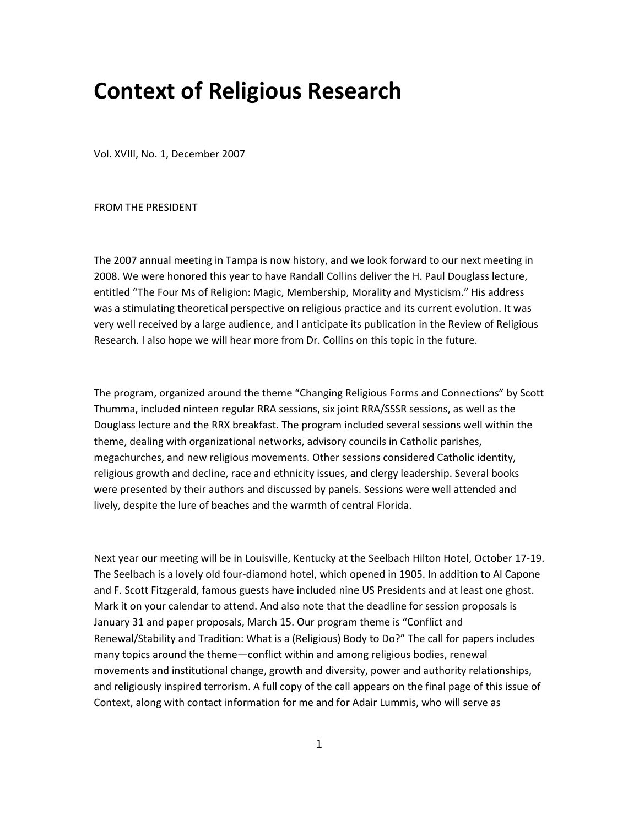## **Context of Religious Research**

Vol. XVIII, No. 1, December 2007

FROM THE PRESIDENT

The 2007 annual meeting in Tampa is now history, and we look forward to our next meeting in 2008. We were honored this year to have Randall Collins deliver the H. Paul Douglass lecture, entitled "The Four Ms of Religion: Magic, Membership, Morality and Mysticism." His address was a stimulating theoretical perspective on religious practice and its current evolution. It was very well received by a large audience, and I anticipate its publication in the Review of Religious Research. I also hope we will hear more from Dr. Collins on this topic in the future.

The program, organized around the theme "Changing Religious Forms and Connections" by Scott Thumma, included ninteen regular RRA sessions, six joint RRA/SSSR sessions, as well as the Douglass lecture and the RRX breakfast. The program included several sessions well within the theme, dealing with organizational networks, advisory councils in Catholic parishes, megachurches, and new religious movements. Other sessions considered Catholic identity, religious growth and decline, race and ethnicity issues, and clergy leadership. Several books were presented by their authors and discussed by panels. Sessions were well attended and lively, despite the lure of beaches and the warmth of central Florida.

Next year our meeting will be in Louisville, Kentucky at the Seelbach Hilton Hotel, October 17‐19. The Seelbach is a lovely old four‐diamond hotel, which opened in 1905. In addition to Al Capone and F. Scott Fitzgerald, famous guests have included nine US Presidents and at least one ghost. Mark it on your calendar to attend. And also note that the deadline for session proposals is January 31 and paper proposals, March 15. Our program theme is "Conflict and Renewal/Stability and Tradition: What is a (Religious) Body to Do?" The call for papers includes many topics around the theme—conflict within and among religious bodies, renewal movements and institutional change, growth and diversity, power and authority relationships, and religiously inspired terrorism. A full copy of the call appears on the final page of this issue of Context, along with contact information for me and for Adair Lummis, who will serve as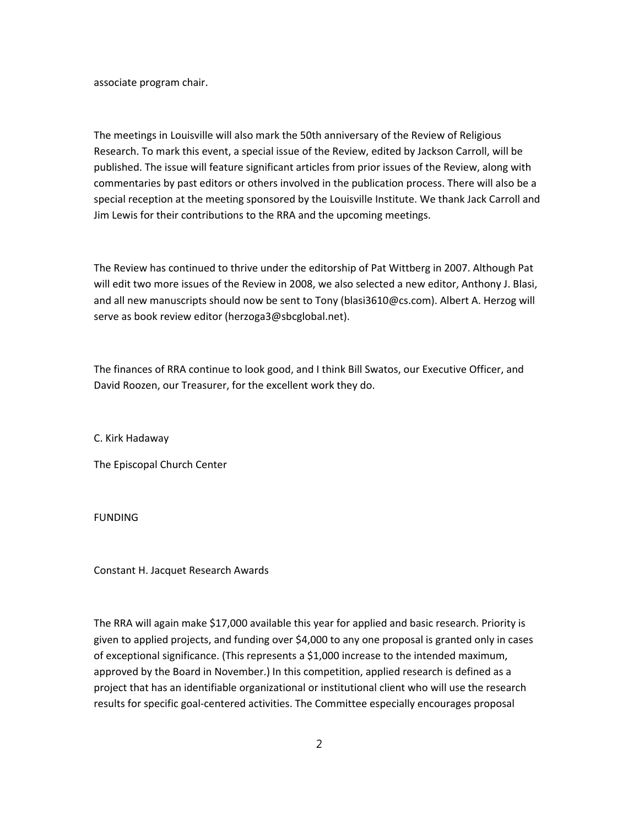associate program chair.

The meetings in Louisville will also mark the 50th anniversary of the Review of Religious Research. To mark this event, a special issue of the Review, edited by Jackson Carroll, will be published. The issue will feature significant articles from prior issues of the Review, along with commentaries by past editors or others involved in the publication process. There will also be a special reception at the meeting sponsored by the Louisville Institute. We thank Jack Carroll and Jim Lewis for their contributions to the RRA and the upcoming meetings.

The Review has continued to thrive under the editorship of Pat Wittberg in 2007. Although Pat will edit two more issues of the Review in 2008, we also selected a new editor, Anthony J. Blasi, and all new manuscripts should now be sent to Tony (blasi3610@cs.com). Albert A. Herzog will serve as book review editor (herzoga3@sbcglobal.net).

The finances of RRA continue to look good, and I think Bill Swatos, our Executive Officer, and David Roozen, our Treasurer, for the excellent work they do.

C. Kirk Hadaway

The Episcopal Church Center

FUNDING

Constant H. Jacquet Research Awards

The RRA will again make \$17,000 available this year for applied and basic research. Priority is given to applied projects, and funding over \$4,000 to any one proposal is granted only in cases of exceptional significance. (This represents a \$1,000 increase to the intended maximum, approved by the Board in November.) In this competition, applied research is defined as a project that has an identifiable organizational or institutional client who will use the research results for specific goal‐centered activities. The Committee especially encourages proposal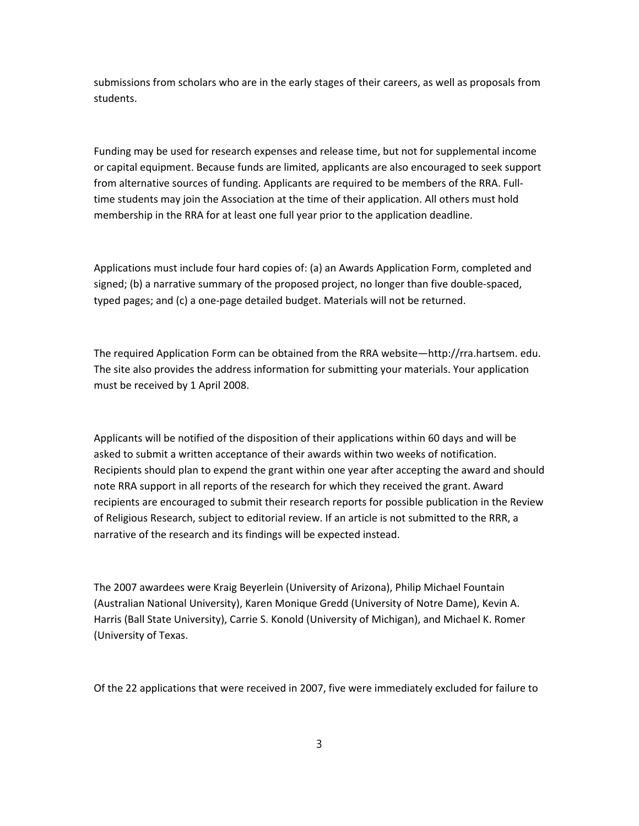submissions from scholars who are in the early stages of their careers, as well as proposals from students.

Funding may be used for research expenses and release time, but not for supplemental income or capital equipment. Because funds are limited, applicants are also encouraged to seek support from alternative sources of funding. Applicants are required to be members of the RRA. Full‐ time students may join the Association at the time of their application. All others must hold membership in the RRA for at least one full year prior to the application deadline.

Applications must include four hard copies of: (a) an Awards Application Form, completed and signed; (b) a narrative summary of the proposed project, no longer than five double‐spaced, typed pages; and (c) a one‐page detailed budget. Materials will not be returned.

The required Application Form can be obtained from the RRA website—http://rra.hartsem. edu. The site also provides the address information for submitting your materials. Your application must be received by 1 April 2008.

Applicants will be notified of the disposition of their applications within 60 days and will be asked to submit a written acceptance of their awards within two weeks of notification. Recipients should plan to expend the grant within one year after accepting the award and should note RRA support in all reports of the research for which they received the grant. Award recipients are encouraged to submit their research reports for possible publication in the Review of Religious Research, subject to editorial review. If an article is not submitted to the RRR, a narrative of the research and its findings will be expected instead.

The 2007 awardees were Kraig Beyerlein (University of Arizona), Philip Michael Fountain (Australian National University), Karen Monique Gredd (University of Notre Dame), Kevin A. Harris (Ball State University), Carrie S. Konold (University of Michigan), and Michael K. Romer (University of Texas.

Of the 22 applications that were received in 2007, five were immediately excluded for failure to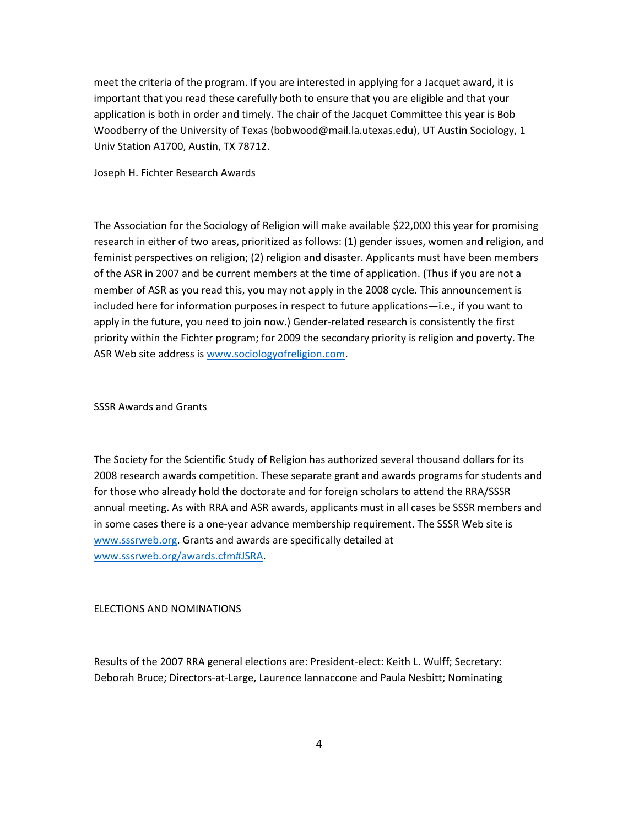meet the criteria of the program. If you are interested in applying for a Jacquet award, it is important that you read these carefully both to ensure that you are eligible and that your application is both in order and timely. The chair of the Jacquet Committee this year is Bob Woodberry of the University of Texas (bobwood@mail.la.utexas.edu), UT Austin Sociology, 1 Univ Station A1700, Austin, TX 78712.

Joseph H. Fichter Research Awards

The Association for the Sociology of Religion will make available \$22,000 this year for promising research in either of two areas, prioritized as follows: (1) gender issues, women and religion, and feminist perspectives on religion; (2) religion and disaster. Applicants must have been members of the ASR in 2007 and be current members at the time of application. (Thus if you are not a member of ASR as you read this, you may not apply in the 2008 cycle. This announcement is included here for information purposes in respect to future applications—i.e., if you want to apply in the future, you need to join now.) Gender‐related research is consistently the first priority within the Fichter program; for 2009 the secondary priority is religion and poverty. The ASR Web site address is www.sociologyofreligion.com.

SSSR Awards and Grants

The Society for the Scientific Study of Religion has authorized several thousand dollars for its 2008 research awards competition. These separate grant and awards programs for students and for those who already hold the doctorate and for foreign scholars to attend the RRA/SSSR annual meeting. As with RRA and ASR awards, applicants must in all cases be SSSR members and in some cases there is a one‐year advance membership requirement. The SSSR Web site is www.sssrweb.org. Grants and awards are specifically detailed at www.sssrweb.org/awards.cfm#JSRA.

## ELECTIONS AND NOMINATIONS

Results of the 2007 RRA general elections are: President‐elect: Keith L. Wulff; Secretary: Deborah Bruce; Directors‐at‐Large, Laurence Iannaccone and Paula Nesbitt; Nominating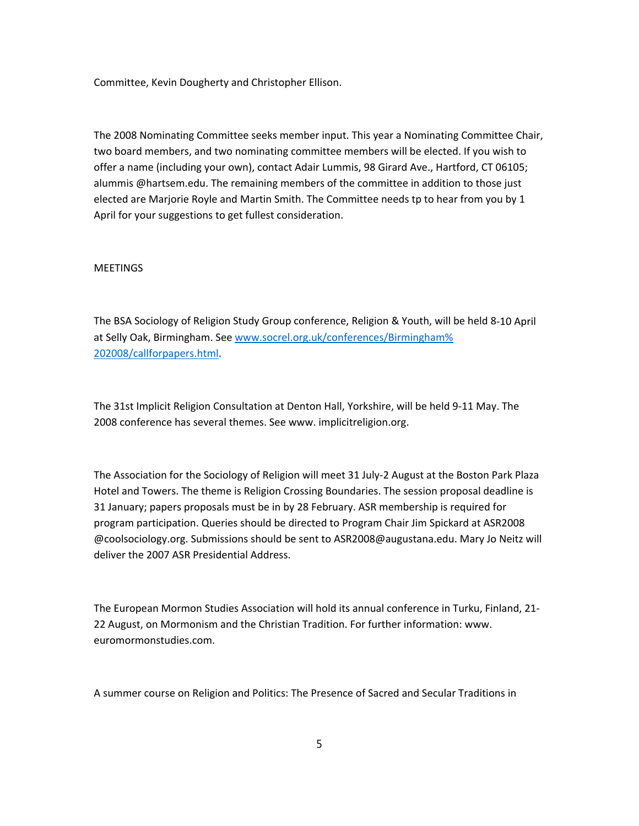Committee, Kevin Dougherty and Christopher Ellison.

The 2008 Nominating Committee seeks member input. This year a Nominating Committee Chair, two board members, and two nominating committee members will be elected. If you wish to offer a name (including your own), contact Adair Lummis, 98 Girard Ave., Hartford, CT 06105; alummis @hartsem.edu. The remaining members of the committee in addition to those just elected are Marjorie Royle and Martin Smith. The Committee needs tp to hear from you by 1 April for your suggestions to get fullest consideration.

## **MEETINGS**

The BSA Sociology of Religion Study Group conference, Religion & Youth, will be held 8‐10 April at Selly Oak, Birmingham. See www.socrel.org.uk/conferences/Birmingham% 202008/callforpapers.html.

The 31st Implicit Religion Consultation at Denton Hall, Yorkshire, will be held 9‐11 May. The 2008 conference has several themes. See www. implicitreligion.org.

The Association for the Sociology of Religion will meet 31 July‐2 August at the Boston Park Plaza Hotel and Towers. The theme is Religion Crossing Boundaries. The session proposal deadline is 31 January; papers proposals must be in by 28 February. ASR membership is required for program participation. Queries should be directed to Program Chair Jim Spickard at ASR2008 @coolsociology.org. Submissions should be sent to ASR2008@augustana.edu. Mary Jo Neitz will deliver the 2007 ASR Presidential Address.

The European Mormon Studies Association will hold its annual conference in Turku, Finland, 21‐ 22 August, on Mormonism and the Christian Tradition. For further information: www. euromormonstudies.com.

A summer course on Religion and Politics: The Presence of Sacred and Secular Traditions in